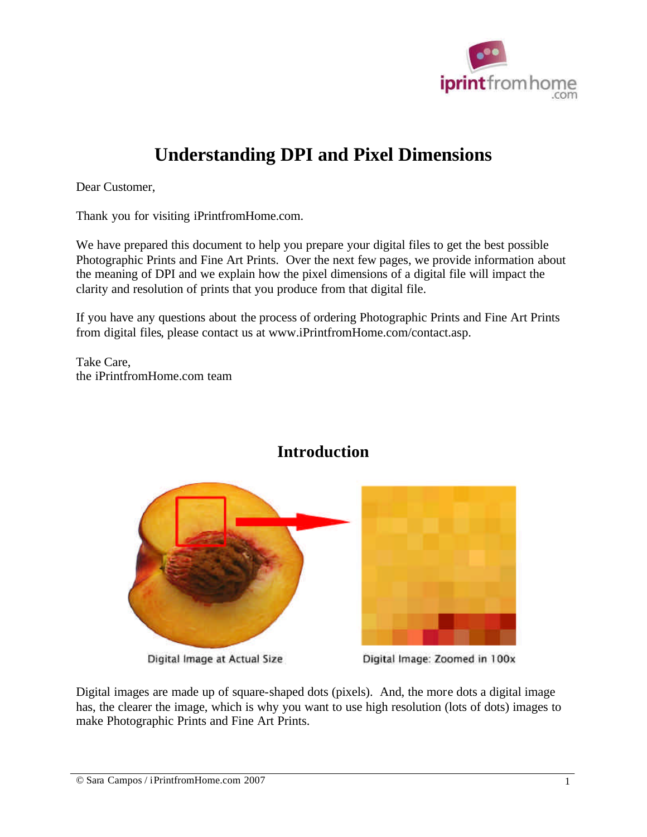

# **Understanding DPI and Pixel Dimensions**

Dear Customer,

Thank you for visiting iPrintfromHome.com.

We have prepared this document to help you prepare your digital files to get the best possible Photographic Prints and Fine Art Prints. Over the next few pages, we provide information about the meaning of DPI and we explain how the pixel dimensions of a digital file will impact the clarity and resolution of prints that you produce from that digital file.

If you have any questions about the process of ordering Photographic Prints and Fine Art Prints from digital files, please contact us at www.iPrintfromHome.com/contact.asp.

Take Care, the iPrintfromHome.com team



#### **Introduction**

Digital Image at Actual Size



Digital Image: Zoomed in 100x

Digital images are made up of square-shaped dots (pixels). And, the more dots a digital image has, the clearer the image, which is why you want to use high resolution (lots of dots) images to make Photographic Prints and Fine Art Prints.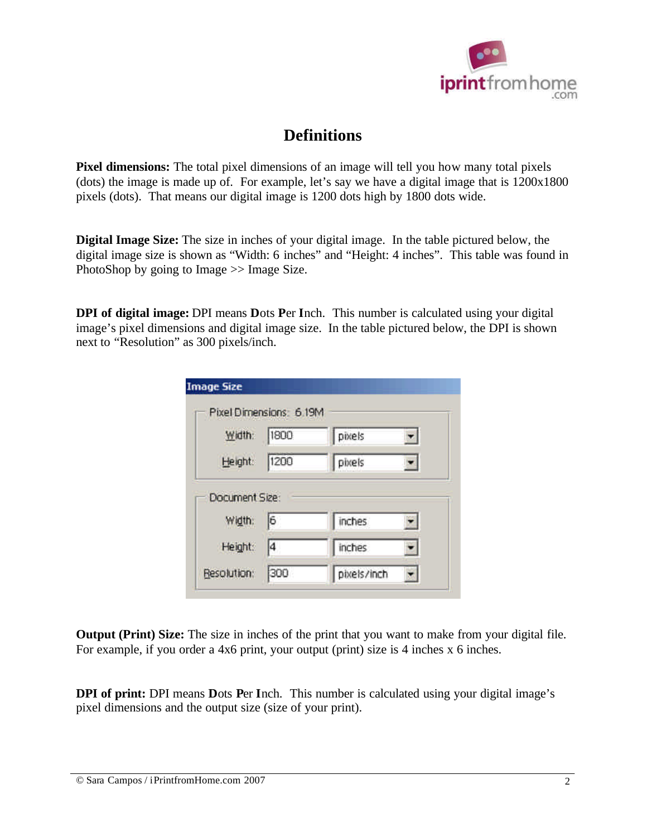

#### **Definitions**

**Pixel dimensions:** The total pixel dimensions of an image will tell you how many total pixels (dots) the image is made up of. For example, let's say we have a digital image that is 1200x1800 pixels (dots). That means our digital image is 1200 dots high by 1800 dots wide.

**Digital Image Size:** The size in inches of your digital image. In the table pictured below, the digital image size is shown as "Width: 6 inches" and "Height: 4 inches". This table was found in PhotoShop by going to Image >> Image Size.

**DPI of digital image:** DPI means **D**ots **P**er **I**nch. This number is calculated using your digital image's pixel dimensions and digital image size. In the table pictured below, the DPI is shown next to "Resolution" as 300 pixels/inch.

| Width:         | 1800 | pixels |  |
|----------------|------|--------|--|
| Height:        | 1200 | pixels |  |
| Document Size: |      |        |  |
| Width:         | ı6   | inches |  |
| Height:        | 4    | inches |  |

**Output (Print) Size:** The size in inches of the print that you want to make from your digital file. For example, if you order a 4x6 print, your output (print) size is 4 inches x 6 inches.

**DPI of print:** DPI means **D**ots **P**er **I**nch. This number is calculated using your digital image's pixel dimensions and the output size (size of your print).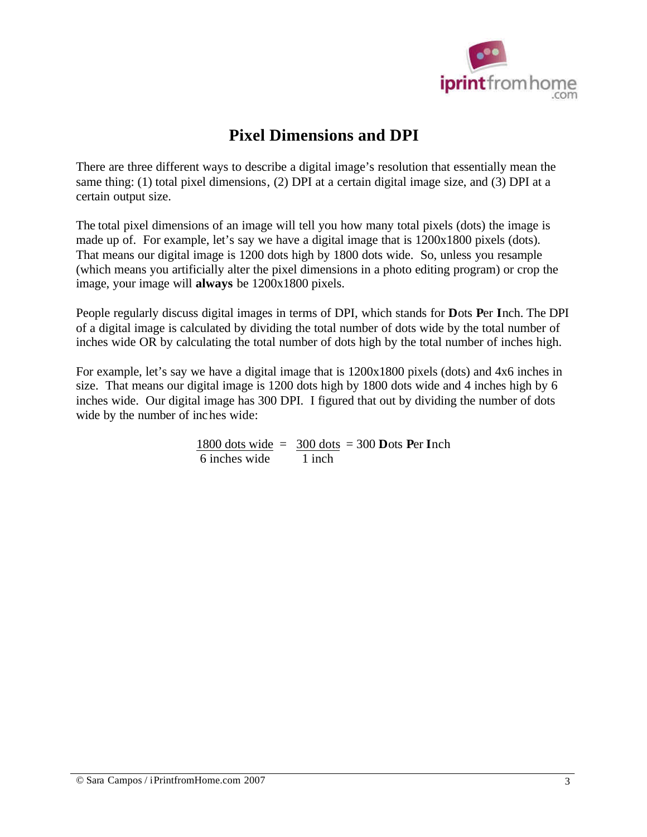

# **Pixel Dimensions and DPI**

There are three different ways to describe a digital image's resolution that essentially mean the same thing: (1) total pixel dimensions, (2) DPI at a certain digital image size, and (3) DPI at a certain output size.

The total pixel dimensions of an image will tell you how many total pixels (dots) the image is made up of. For example, let's say we have a digital image that is 1200x1800 pixels (dots). That means our digital image is 1200 dots high by 1800 dots wide. So, unless you resample (which means you artificially alter the pixel dimensions in a photo editing program) or crop the image, your image will **always** be 1200x1800 pixels.

People regularly discuss digital images in terms of DPI, which stands for **D**ots **P**er **I**nch. The DPI of a digital image is calculated by dividing the total number of dots wide by the total number of inches wide OR by calculating the total number of dots high by the total number of inches high.

For example, let's say we have a digital image that is 1200x1800 pixels (dots) and 4x6 inches in size. That means our digital image is 1200 dots high by 1800 dots wide and 4 inches high by 6 inches wide. Our digital image has 300 DPI. I figured that out by dividing the number of dots wide by the number of inches wide:

> 1800 dots wide =  $300$  dots =  $300$  **D**ots **Per Inch** 6 inches wide 1 inch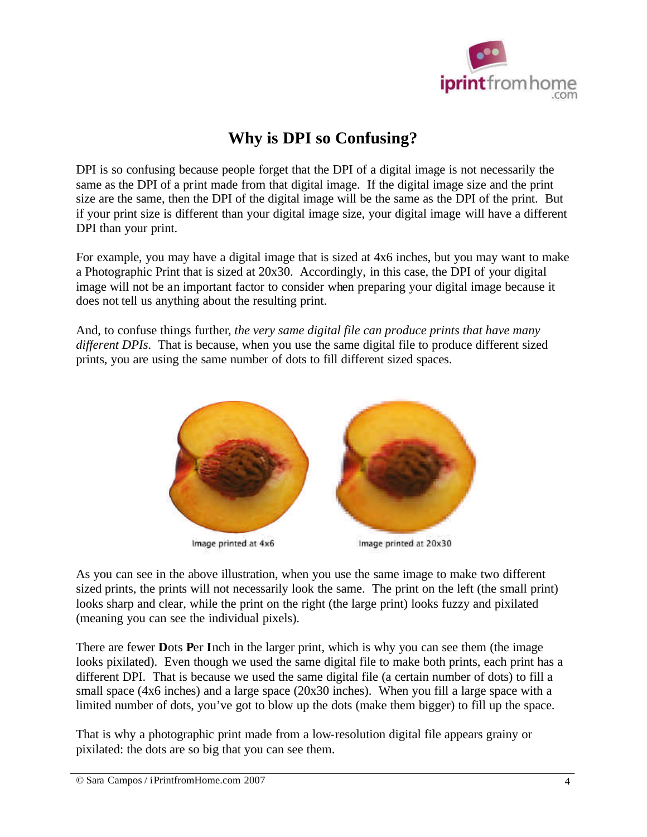

### **Why is DPI so Confusing?**

DPI is so confusing because people forget that the DPI of a digital image is not necessarily the same as the DPI of a print made from that digital image. If the digital image size and the print size are the same, then the DPI of the digital image will be the same as the DPI of the print. But if your print size is different than your digital image size, your digital image will have a different DPI than your print.

For example, you may have a digital image that is sized at 4x6 inches, but you may want to make a Photographic Print that is sized at 20x30. Accordingly, in this case, the DPI of your digital image will not be an important factor to consider when preparing your digital image because it does not tell us anything about the resulting print.

And, to confuse things further*, the very same digital file can produce prints that have many different DPIs*. That is because, when you use the same digital file to produce different sized prints, you are using the same number of dots to fill different sized spaces.



As you can see in the above illustration, when you use the same image to make two different sized prints, the prints will not necessarily look the same. The print on the left (the small print) looks sharp and clear, while the print on the right (the large print) looks fuzzy and pixilated (meaning you can see the individual pixels).

There are fewer **D**ots **P**er **I**nch in the larger print, which is why you can see them (the image looks pixilated). Even though we used the same digital file to make both prints, each print has a different DPI. That is because we used the same digital file (a certain number of dots) to fill a small space (4x6 inches) and a large space (20x30 inches). When you fill a large space with a limited number of dots, you've got to blow up the dots (make them bigger) to fill up the space.

That is why a photographic print made from a low-resolution digital file appears grainy or pixilated: the dots are so big that you can see them.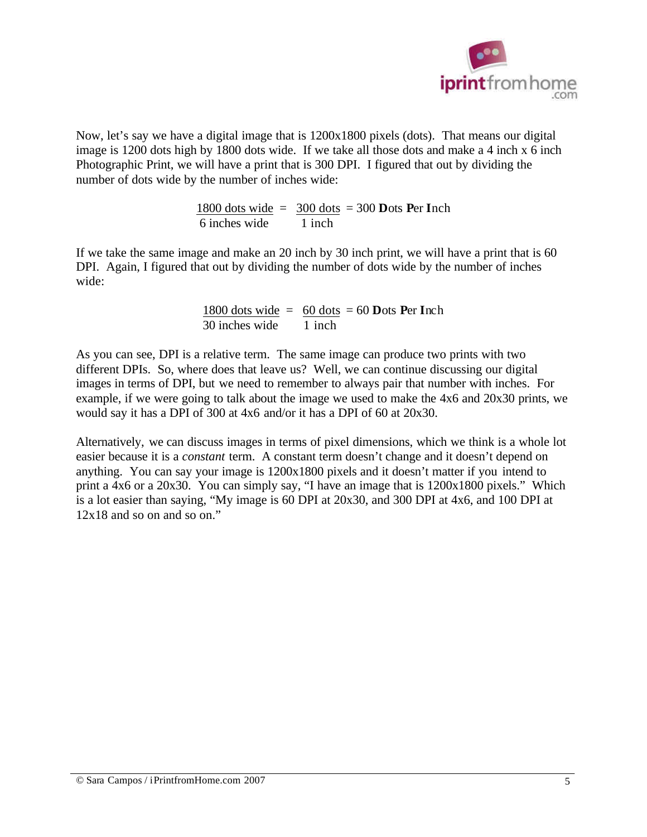

Now, let's say we have a digital image that is 1200x1800 pixels (dots). That means our digital image is 1200 dots high by 1800 dots wide. If we take all those dots and make a 4 inch x 6 inch Photographic Print, we will have a print that is 300 DPI. I figured that out by dividing the number of dots wide by the number of inches wide:

> 1800 dots wide  $= 300$  dots  $= 300$  **D**ots **Per Inch** 6 inches wide 1 inch

If we take the same image and make an 20 inch by 30 inch print, we will have a print that is 60 DPI. Again, I figured that out by dividing the number of dots wide by the number of inches wide:

> 1800 dots wide  $= 60$  dots  $= 60$  **D**ots **Per Inch** 30 inches wide 1 inch

As you can see, DPI is a relative term. The same image can produce two prints with two different DPIs. So, where does that leave us? Well, we can continue discussing our digital images in terms of DPI, but we need to remember to always pair that number with inches. For example, if we were going to talk about the image we used to make the 4x6 and 20x30 prints, we would say it has a DPI of 300 at 4x6 and/or it has a DPI of 60 at 20x30.

Alternatively, we can discuss images in terms of pixel dimensions, which we think is a whole lot easier because it is a *constant* term. A constant term doesn't change and it doesn't depend on anything. You can say your image is 1200x1800 pixels and it doesn't matter if you intend to print a 4x6 or a 20x30. You can simply say, "I have an image that is 1200x1800 pixels." Which is a lot easier than saying, "My image is 60 DPI at 20x30, and 300 DPI at 4x6, and 100 DPI at 12x18 and so on and so on."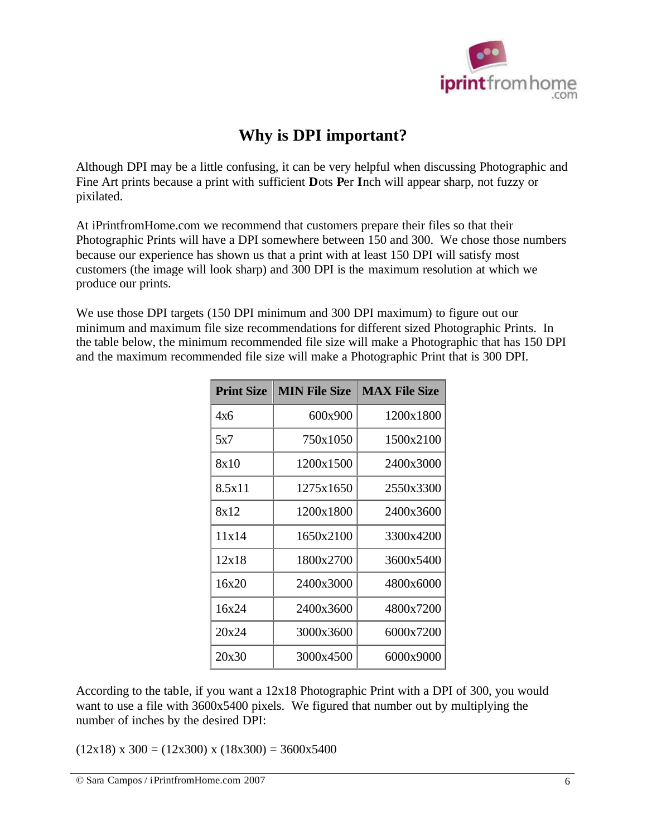

## **Why is DPI important?**

Although DPI may be a little confusing, it can be very helpful when discussing Photographic and Fine Art prints because a print with sufficient **D**ots **P**er **I**nch will appear sharp, not fuzzy or pixilated.

At iPrintfromHome.com we recommend that customers prepare their files so that their Photographic Prints will have a DPI somewhere between 150 and 300. We chose those numbers because our experience has shown us that a print with at least 150 DPI will satisfy most customers (the image will look sharp) and 300 DPI is the maximum resolution at which we produce our prints.

We use those DPI targets (150 DPI minimum and 300 DPI maximum) to figure out our minimum and maximum file size recommendations for different sized Photographic Prints. In the table below, the minimum recommended file size will make a Photographic that has 150 DPI and the maximum recommended file size will make a Photographic Print that is 300 DPI.

| <b>Print Size</b> | <b>MIN File Size</b> | <b>MAX File Size</b> |
|-------------------|----------------------|----------------------|
| 4x6               | 600x900              | 1200x1800            |
| 5x7               | 750x1050             | 1500x2100            |
| 8x10              | 1200x1500            | 2400x3000            |
| 8.5x11            | 1275x1650            | 2550x3300            |
| 8x12              | 1200x1800            | 2400x3600            |
| 11x14             | 1650x2100            | 3300x4200            |
| 12x18             | 1800x2700            | 3600x5400            |
| 16x20             | 2400x3000            | 4800x6000            |
| 16x24             | 2400x3600            | 4800x7200            |
| 20x24             | 3000x3600            | 6000x7200            |
| 20x30             | 3000x4500            | 6000x9000            |

According to the table, if you want a 12x18 Photographic Print with a DPI of 300, you would want to use a file with 3600x5400 pixels. We figured that number out by multiplying the number of inches by the desired DPI:

 $(12x18)$  x 300 =  $(12x300)$  x  $(18x300)$  = 3600x5400